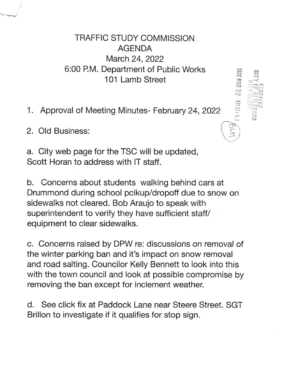TRAFFIC STUDY COMMISSION AGENDA March 24, 2022 6:00 P.M. Department of Public Works 101 Lamb Street

e'

 $\frac{1}{2}$ 

 $\begin{array}{cc} \mathbf{z}\cong\mathbb{R}^n,\ \mathbf{z}\cong\mathbb{R}^n,\ \mathbf{z}\cong\mathbb{R}^n, \end{array}$ 

E

 $\equiv$ 

 $\begin{pmatrix} \overline{\mathbb{R}} \\ \overline{\mathbb{R}} \end{pmatrix}$ 

 $\approx$ {!

1. Approval of Meeting Minutes- February 24,2022

2. Old Business:

a. City web page for the TSC will be updated, Scott Horan to address with lT staff.

b. Concerns about students walking behind cars at Drummond during school pcikup/dropoff due to snow on sidewalks not cleared. Bob Araujo to speak with superintendent to verify they have sufficient staff/ equipment to clear sidewalks.

c. Concerns raised by DPW re: discussions on removal of the winter parking ban and it's impact on snow removal and road salting. Councilor Kelly Bennett to look into this with the town council and look at possible compromise by removing the ban except for inclement weather.

d. See click fix at Paddock Lane near Steere Street. SGT Brillon to investigate if it qualifies for stop sign.